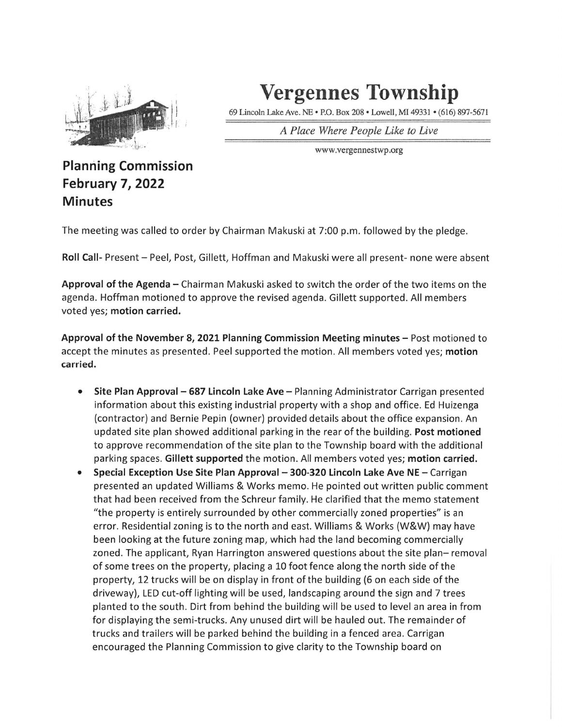

## ^ Vergennes Township

69 Lincoln Lake Ave. NE • P.O. Box 208 • Lowell, MI 49331 • (616) 897-5671

A Place Where People Like to Live

•:,<<»'••• www.vergennestwp ,org

## Planning Commission February 7, 2022 Minutes

The meeting was called to order by Chairman Makuski at 7:00 p.m. followed by the pledge.

Roll Call- Present - Peel, Post, Gillett, Hoffman and Makuski were all present- none were absent

Approval of the Agenda - Chairman Makuski asked to switch the order of the two items on the agenda. Hoffman motioned to approve the revised agenda. Gillett supported. All members voted yes; motion carried.

Approval of the November 8, 2021 Planning Commission Meeting minutes - Post motioned to accept the minutes as presented. Peel supported the motion. All members voted yes; motion carried.

- Site Plan Approval  $-687$  Lincoln Lake Ave  $-$  Planning Administrator Carrigan presented  $\bullet$ information about this existing industrial property with a shop and office. Ed Huizenga (contractor) and Bernie Pepin (owner) provided details about the office expansion. An updated site plan showed additional parking in the rear of the building. Post motioned to approve recommendation of the site plan to the Township board with the additional parking spaces. Gillett supported the motion. All members voted yes; motion carried.
- Special Exception Use Site Plan Approval 300-320 Lincoln Lake Ave NE Carrigan  $\bullet$ presented an updated Williams & Works memo. He pointed out written public comment that had been received from the Schreur family. He clarified that the memo statement "the property is entirely surrounded by other commercially zoned properties" is an error. Residential zoning is to the north and east. Williams & Works (W&W) may have been looking at the future zoning map, which had the land becoming commercially zoned. The applicant, Ryan Harrington answered questions about the site plan-removal of some trees on the property, placing a 10 foot fence along the north side of the property, 12 trucks will be on display in front of the building (6 on each side of the driveway), LED cut-off lighting will be used, landscaping around the sign and 7 trees planted to the south. Dirt from behind the building will be used to level an area in from for displaying the semi-trucks. Any unused dirt will be hauled out. The remainder of trucks and trailers will be parked behind the building in a fenced area. Carrigan encouraged the Planning Commission to give clarity to the Township board on